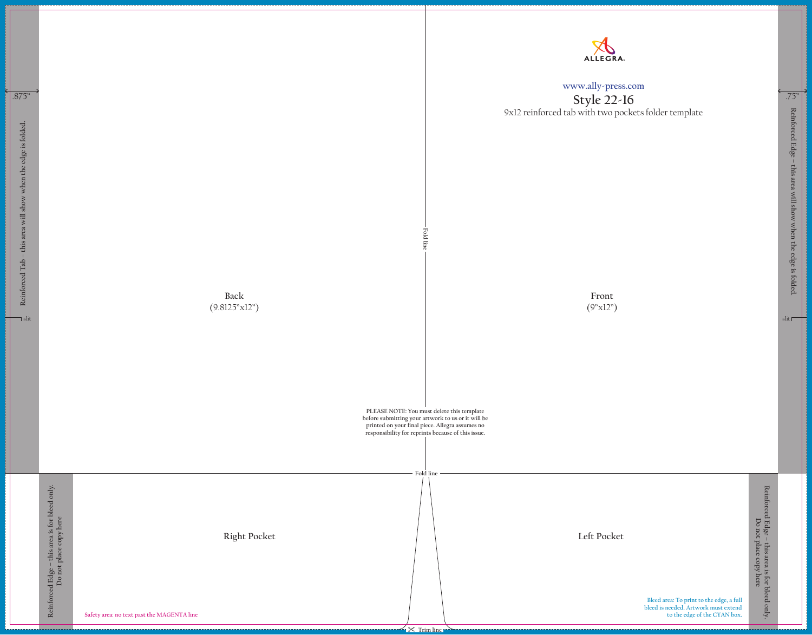**Front** (9"x12")

> **Bleed area: To print to the edge, a full bleed is needed. Artwork must extend to the edge of the CYAN box.**

## **www.ally-press.com**

**Style 22-16** 9x12 reinforced tab with two pockets folder template

**Reinforced Edge – this area will show when the edge is folded.**

Reinforced Edge – this area will show when the edge is folded.

 $\mathsf{slit}$ 

**Reinforced Edge – this area is for bleed only.** Reinforced Edge - this area is for bleed only.<br>Do not place copy here **Do not place copy here**